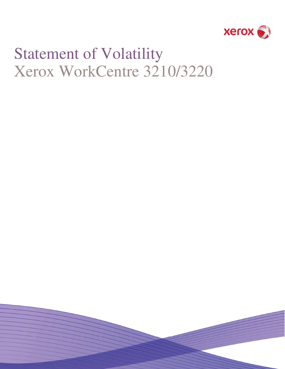

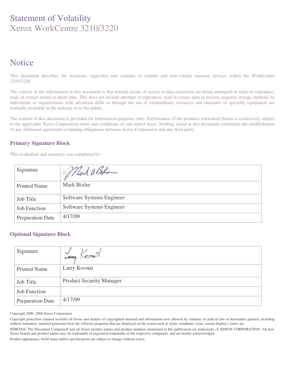# **Notice**

This document describes the locations, capacities and contents of volatile and non-volatile memory devices within the WorkCentre 3210/3220.

The context of the information in this document is that normal means of access or data extraction are being attempted in order to reproduce, read, or extract stored or latent data. This does not include attempts to reproduce, read or extract data or reverse engineer storage methods by individuals or organizations with advanced skills or through the use of extraordinary resources and measures or specialty equipment not normally available in the industry or to the public.

The content of this document is provided for information purposes only. Performance of the products referenced herein is exclusively subject to the applicable Xerox Corporation terms and conditions of sale and/or lease. Nothing stated in this document constitutes the establishment of any additional agreement or binding obligations between Xerox Corporation and any third party.

### **Primary Signature Block**

This evaluation and summary was completed by:

| Signature               | Mark a Bele               |
|-------------------------|---------------------------|
| <b>Printed Name</b>     | Mark Bixler               |
| <b>Job Title</b>        | Software Systems Engineer |
| <b>Job Function</b>     | Software Systems Engineer |
| <b>Preparation Date</b> | 4/17/09                   |

#### **Optional Signature Block**

| Signature               | Sany Kornat                     |
|-------------------------|---------------------------------|
| <b>Printed Name</b>     | Larry Kovnat                    |
| <b>Job Title</b>        | <b>Product Security Manager</b> |
| <b>Job Function</b>     |                                 |
| <b>Preparation Date</b> | 4/17/09                         |

Copyright 2006, 2008 Xerox Corporation

Copyright protection claimed includes all forms and matters of copyrighted material and information now allowed by statutory or judicial law or hereinafter granted, including without limitation, material generated from the software programs that are displayed on the screen such as styles, templates, icons, screen displays, looks, etc.

XEROX®, The Document Company® and all Xerox product names and product numbers mentioned in this publication are trademarks of XEROX CORPORATION. All non-Xerox brands and product names may be trademarks or registered trademarks of the respective companies, and are hereby acknowledged.

Product appearance, build status and/or specifications are subject to change without notice.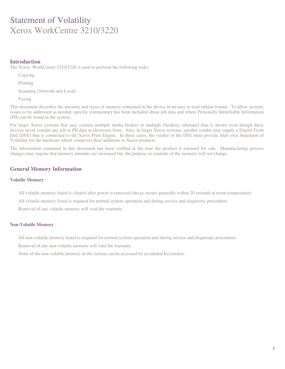#### **Introduction**

The Xerox ,WorkCentre 3210/3220 is used to perform the following tasks:

Copying

Printing

Scanning (Network and Local)

Faxing

This document describes the amounts and types of memory contained in the device in an easy to read tabular format. To allow security issues to be addressed as needed, specific commentary has been included about job data and where Personally Identifiable Information (PII) can be found in the system.

For larger Xerox systems that may contain multiple media feeders or multiple finishers, tabulated data is shown even though these devices never contain any job or PII data in electronic form. Also, in larger Xerox systems, another vendor may supply a Digital Front End (DFE) that is connected to the Xerox Print Engine. In these cases, the vendor of the DFE must provide their own Statement of Volatility for the hardware which comprises their additions to Xerox products.

The information contained in this document has been verified at the time the product is released for sale. Manufacturing process changes may require that memory amounts are increased but, the purpose or contents of the memory will not change.

#### **General Memory Information**

#### **Volatile Memory**

All volatile memory listed is cleared after power is removed (decay occurs generally within 20 seconds at room temperature).

All volatile memory listed is required for normal system operation and during service and diagnostic procedures.

Removal of any volatile memory will void the warranty.

#### **Non-Volatile Memory**

All non-volatile memory listed is required for normal system operation and during service and diagnostic procedures.

Removal of any non-volatile memory will void the warranty.

None of the non-volatile memory in the system can be accessed by accidental keystrokes.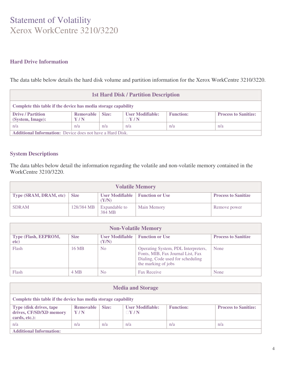### **Hard Drive Information**

The data table below details the hard disk volume and partition information for the Xerox WorkCentre 3210/3220.

| <b>1st Hard Disk / Partition Description</b>                     |                  |       |                                |                  |                             |
|------------------------------------------------------------------|------------------|-------|--------------------------------|------------------|-----------------------------|
| Complete this table if the device has media storage capability   |                  |       |                                |                  |                             |
| <b>Drive / Partition</b><br>(System, Image):                     | Removable<br>Y/N | Size: | <b>User Modifiable:</b><br>Y/N | <b>Function:</b> | <b>Process to Sanitize:</b> |
| n/a                                                              | n/a              | n/a   | n/a                            | n/a              | n/a                         |
| <b>Additional Information:</b> Device does not have a Hard Disk. |                  |       |                                |                  |                             |

### **System Descriptions**

The data tables below detail the information regarding the volatile and non-volatile memory contained in the WorkCentre 3210/3220.

| <b>Volatile Memory</b>        |            |                                          |                    |                            |
|-------------------------------|------------|------------------------------------------|--------------------|----------------------------|
| Type (SRAM, DRAM, etc)   Size |            | User Modifiable   Function or Use<br>Y/N |                    | <b>Process to Sanitize</b> |
| <b>SDRAM</b>                  | 128/384 MB | Expandable to<br>384 MB                  | <b>Main Memory</b> | Remove power               |

| <b>Non-Volatile Memory</b>   |             |                                 |                                                                                                                                      |                            |
|------------------------------|-------------|---------------------------------|--------------------------------------------------------------------------------------------------------------------------------------|----------------------------|
| Type (Flash, EEPROM,<br>etc) | <b>Size</b> | <b>User Modifiable</b><br>(Y/N) | <b>Function or Use</b>                                                                                                               | <b>Process to Sanitize</b> |
| Flash                        | 16 MB       | N <sub>0</sub>                  | Operating System, PDL Interpreters,<br>Fonts, MIB, Fax Journal List, Fax<br>Dialing, Code used for scheduling<br>the marking of jobs | None                       |
| Flash                        | 4 MB        | N <sub>o</sub>                  | <b>Fax Receive</b>                                                                                                                   | None                       |

| <b>Media and Storage</b>                                            |                         |       |                                  |                  |                             |
|---------------------------------------------------------------------|-------------------------|-------|----------------------------------|------------------|-----------------------------|
| Complete this table if the device has media storage capability      |                         |       |                                  |                  |                             |
| Type (disk drives, tape<br>drives, CF/SD/XD memory<br>cards, etc.): | <b>Removable</b><br>Y/N | Size: | <b>User Modifiable:</b><br>Y / N | <b>Function:</b> | <b>Process to Sanitize:</b> |
| n/a                                                                 | n/a                     | n/a   | n/a                              | n/a              | n/a                         |
| <b>Additional Information:</b>                                      |                         |       |                                  |                  |                             |